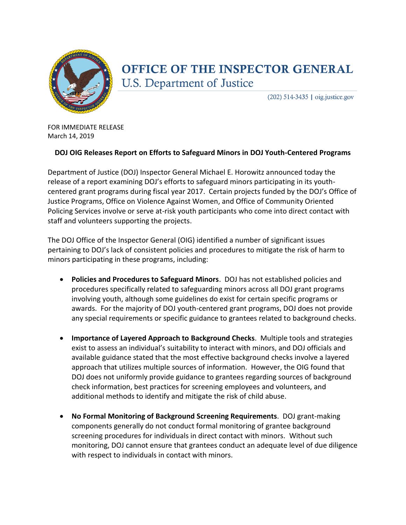

## OFFICE OF THE INSPECTOR GENERAL **U.S. Department of Justice**

 $(202)$  514-3435 | oig.justice.gov

FOR IMMEDIATE RELEASE March 14, 2019

## **DOJ OIG Releases Report on Efforts to Safeguard Minors in DOJ Youth-Centered Programs**

Department of Justice (DOJ) Inspector General Michael E. Horowitz announced today the release of a report examining DOJ's efforts to safeguard minors participating in its youthcentered grant programs during fiscal year 2017. Certain projects funded by the DOJ's Office of Justice Programs, Office on Violence Against Women, and Office of Community Oriented Policing Services involve or serve at-risk youth participants who come into direct contact with staff and volunteers supporting the projects.

The DOJ Office of the Inspector General (OIG) identified a number of significant issues pertaining to DOJ's lack of consistent policies and procedures to mitigate the risk of harm to minors participating in these programs, including:

- **Policies and Procedures to Safeguard Minors**. DOJ has not established policies and procedures specifically related to safeguarding minors across all DOJ grant programs involving youth, although some guidelines do exist for certain specific programs or awards. For the majority of DOJ youth-centered grant programs, DOJ does not provide any special requirements or specific guidance to grantees related to background checks.
- **Importance of Layered Approach to Background Checks**. Multiple tools and strategies exist to assess an individual's suitability to interact with minors, and DOJ officials and available guidance stated that the most effective background checks involve a layered approach that utilizes multiple sources of information. However, the OIG found that DOJ does not uniformly provide guidance to grantees regarding sources of background check information, best practices for screening employees and volunteers, and additional methods to identify and mitigate the risk of child abuse.
- **No Formal Monitoring of Background Screening Requirements**. DOJ grant-making components generally do not conduct formal monitoring of grantee background screening procedures for individuals in direct contact with minors. Without such monitoring, DOJ cannot ensure that grantees conduct an adequate level of due diligence with respect to individuals in contact with minors.